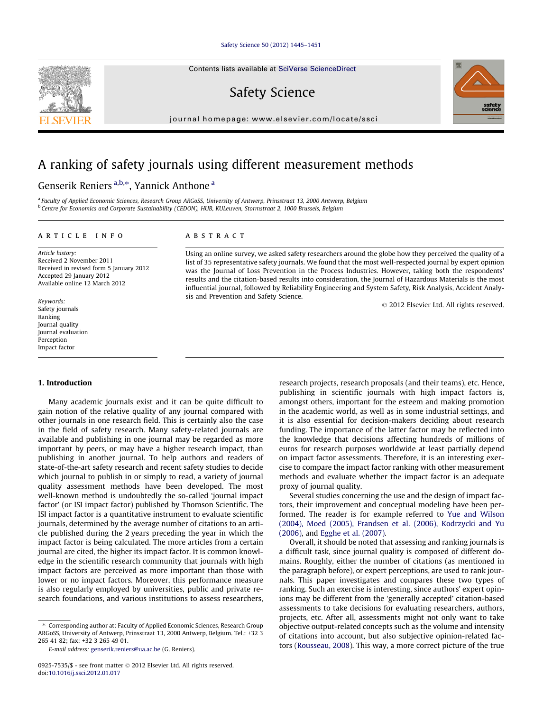## [Safety Science 50 \(2012\) 1445–1451](http://dx.doi.org/10.1016/j.ssci.2012.01.017)

Contents lists available at [SciVerse ScienceDirect](http://www.sciencedirect.com/science/journal/09257535)

## Safety Science

journal homepage: [www.elsevier.com/locate/ssci](http://www.elsevier.com/locate/ssci)

## A ranking of safety journals using different measurement methods

## Genserik Reniers <sup>a,b,</sup>\*, Yannick Anthone <sup>a</sup>

a Faculty of Applied Economic Sciences, Research Group ARGoSS, University of Antwerp, Prinsstraat 13, 2000 Antwerp, Belgium <sup>b</sup> Centre for Economics and Corporate Sustainability (CEDON), HUB, KULeuven, Stormstraat 2, 1000 Brussels, Belgium

## article info

Article history: Received 2 November 2011 Received in revised form 5 January 2012 Accepted 29 January 2012 Available online 12 March 2012

Keywords: Safety journals Ranking Journal quality Journal evaluation Perception Impact factor

#### 1. Introduction

Many academic journals exist and it can be quite difficult to gain notion of the relative quality of any journal compared with other journals in one research field. This is certainly also the case in the field of safety research. Many safety-related journals are available and publishing in one journal may be regarded as more important by peers, or may have a higher research impact, than publishing in another journal. To help authors and readers of state-of-the-art safety research and recent safety studies to decide which journal to publish in or simply to read, a variety of journal quality assessment methods have been developed. The most well-known method is undoubtedly the so-called 'journal impact factor' (or ISI impact factor) published by Thomson Scientific. The ISI impact factor is a quantitative instrument to evaluate scientific journals, determined by the average number of citations to an article published during the 2 years preceding the year in which the impact factor is being calculated. The more articles from a certain journal are cited, the higher its impact factor. It is common knowledge in the scientific research community that journals with high impact factors are perceived as more important than those with lower or no impact factors. Moreover, this performance measure is also regularly employed by universities, public and private research foundations, and various institutions to assess researchers,

⇑ Corresponding author at: Faculty of Applied Economic Sciences, Research Group ARGoSS, University of Antwerp, Prinsstraat 13, 2000 Antwerp, Belgium. Tel.: +32 3 265 41 82; fax: +32 3 265 49 01.

E-mail address: [genserik.reniers@ua.ac.be](mailto:genserik.reniers@ua.ac.be) (G. Reniers).

## **ABSTRACT**

Using an online survey, we asked safety researchers around the globe how they perceived the quality of a list of 35 representative safety journals. We found that the most well-respected journal by expert opinion was the Journal of Loss Prevention in the Process Industries. However, taking both the respondents' results and the citation-based results into consideration, the Journal of Hazardous Materials is the most influential journal, followed by Reliability Engineering and System Safety, Risk Analysis, Accident Analysis and Prevention and Safety Science.

- 2012 Elsevier Ltd. All rights reserved.

research projects, research proposals (and their teams), etc. Hence, publishing in scientific journals with high impact factors is, amongst others, important for the esteem and making promotion in the academic world, as well as in some industrial settings, and it is also essential for decision-makers deciding about research funding. The importance of the latter factor may be reflected into the knowledge that decisions affecting hundreds of millions of euros for research purposes worldwide at least partially depend on impact factor assessments. Therefore, it is an interesting exercise to compare the impact factor ranking with other measurement methods and evaluate whether the impact factor is an adequate proxy of journal quality.

Several studies concerning the use and the design of impact factors, their improvement and conceptual modeling have been performed. The reader is for example referred to [Yue and Wilson](#page--1-0) [\(2004\), Moed \(2005\), Frandsen et al. \(2006\), Kodrzycki and Yu](#page--1-0) [\(2006\)](#page--1-0), and [Egghe et al. \(2007\)](#page--1-0).

Overall, it should be noted that assessing and ranking journals is a difficult task, since journal quality is composed of different domains. Roughly, either the number of citations (as mentioned in the paragraph before), or expert perceptions, are used to rank journals. This paper investigates and compares these two types of ranking. Such an exercise is interesting, since authors' expert opinions may be different from the 'generally accepted' citation-based assessments to take decisions for evaluating researchers, authors, projects, etc. After all, assessments might not only want to take objective output-related concepts such as the volume and intensity of citations into account, but also subjective opinion-related factors ([Rousseau, 2008](#page--1-0)). This way, a more correct picture of the true





<sup>0925-7535/\$ -</sup> see front matter © 2012 Elsevier Ltd. All rights reserved. doi[:10.1016/j.ssci.2012.01.017](http://dx.doi.org/10.1016/j.ssci.2012.01.017)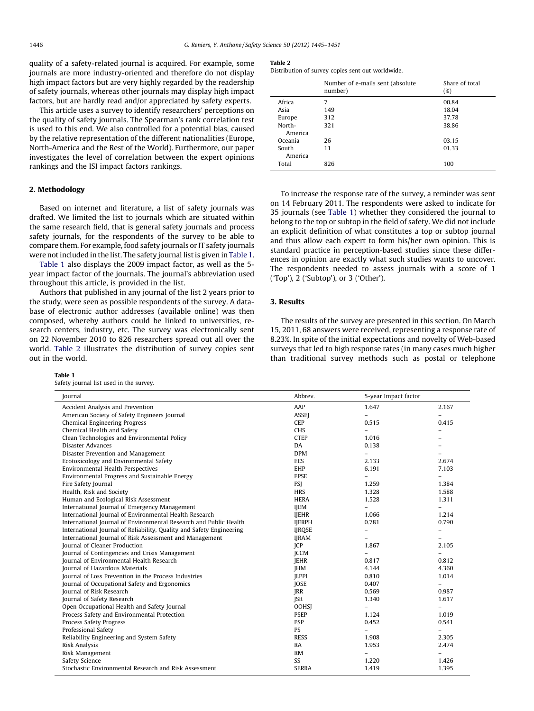quality of a safety-related journal is acquired. For example, some journals are more industry-oriented and therefore do not display high impact factors but are very highly regarded by the readership of safety journals, whereas other journals may display high impact factors, but are hardly read and/or appreciated by safety experts.

This article uses a survey to identify researchers' perceptions on the quality of safety journals. The Spearman's rank correlation test is used to this end. We also controlled for a potential bias, caused by the relative representation of the different nationalities (Europe, North-America and the Rest of the World). Furthermore, our paper investigates the level of correlation between the expert opinions rankings and the ISI impact factors rankings.

### 2. Methodology

Based on internet and literature, a list of safety journals was drafted. We limited the list to journals which are situated within the same research field, that is general safety journals and process safety journals, for the respondents of the survey to be able to compare them. For example, food safety journals or IT safety journals were not included in the list. The safety journal list is given in Table 1.

Table 1 also displays the 2009 impact factor, as well as the 5 year impact factor of the journals. The journal's abbreviation used throughout this article, is provided in the list.

Authors that published in any journal of the list 2 years prior to the study, were seen as possible respondents of the survey. A database of electronic author addresses (available online) was then composed, whereby authors could be linked to universities, research centers, industry, etc. The survey was electronically sent on 22 November 2010 to 826 researchers spread out all over the world. Table 2 illustrates the distribution of survey copies sent out in the world.

#### Table 1

Safety journal list used in the survey.

#### Table 2

Distribution of survey copies sent out worldwide.

|                   | Number of e-mails sent (absolute)<br>number) | Share of total<br>(%) |
|-------------------|----------------------------------------------|-----------------------|
| Africa            | 7                                            | 00.84                 |
| Asia              | 149                                          | 18.04                 |
| Europe            | 312                                          | 37.78                 |
| North-<br>America | 321                                          | 38.86                 |
| Oceania           | 26                                           | 03.15                 |
| South<br>America  | 11                                           | 01.33                 |
| Total             | 826                                          | 100                   |

To increase the response rate of the survey, a reminder was sent on 14 February 2011. The respondents were asked to indicate for 35 journals (see Table 1) whether they considered the journal to belong to the top or subtop in the field of safety. We did not include an explicit definition of what constitutes a top or subtop journal and thus allow each expert to form his/her own opinion. This is standard practice in perception-based studies since these differences in opinion are exactly what such studies wants to uncover. The respondents needed to assess journals with a score of 1 ('Top'), 2 ('Subtop'), or 3 ('Other').

## 3. Results

The results of the survey are presented in this section. On March 15, 2011, 68 answers were received, representing a response rate of 8.23%. In spite of the initial expectations and novelty of Web-based surveys that led to high response rates (in many cases much higher than traditional survey methods such as postal or telephone

| Accident Analysis and Prevention<br>AAP<br>2.167<br>1.647<br>American Society of Safety Engineers Journal<br><b>ASSEI</b><br>$\overline{a}$<br><b>Chemical Engineering Progress</b><br><b>CEP</b><br>0.515<br>0.415<br>Chemical Health and Safety<br><b>CHS</b><br>$\equiv$<br>Clean Technologies and Environmental Policy<br><b>CTEP</b><br>1.016<br>Disaster Advances<br>DA<br>0.138<br>Disaster Prevention and Management<br><b>DPM</b><br>$\overline{\phantom{0}}$<br>Ecotoxicology and Environmental Safety<br><b>EES</b><br>2.674<br>2.133<br>Environmental Health Perspectives<br><b>EHP</b><br>6.191<br>7.103<br>Environmental Progress and Sustainable Energy<br><b>EPSE</b><br>$\equiv$<br>$\overline{a}$<br>Fire Safety Journal<br><b>FSI</b><br>1.259<br>1.384<br>Health, Risk and Society<br><b>HRS</b><br>1.328<br>1.588<br>Human and Ecological Risk Assessment<br><b>HERA</b><br>1.528<br>1.311<br>International Journal of Emergency Management<br><b>IJEM</b><br>$\overline{\phantom{0}}$<br>$\overline{\phantom{0}}$<br>International Journal of Environmental Health Research<br><b>IJEHR</b><br>1.066<br>1.214<br>0.781<br>International Journal of Environmental Research and Public Health<br><b>IJERPH</b><br>0.790<br>International Journal of Reliability, Quality and Safety Engineering<br><b>IJRQSE</b><br>$\overline{a}$<br>$\overline{\phantom{m}}$<br>International Journal of Risk Assessment and Management<br><b>IJRAM</b><br>$\equiv$<br><b>Iournal of Cleaner Production</b><br><b>ICP</b><br>1.867<br>2.105<br>Journal of Contingencies and Crisis Management<br><b>ICCM</b><br>$\overline{a}$<br>$\equiv$<br>Journal of Environmental Health Research<br><b>IEHR</b><br>0.812<br>0.817<br><b>Journal of Hazardous Materials</b><br><b>IHM</b><br>4.144<br>4.360<br>Journal of Loss Prevention in the Process Industries<br><b>ILPPI</b><br>0.810<br>1.014<br><b>JOSE</b><br>Journal of Occupational Safety and Ergonomics<br>0.407<br>$\overline{\phantom{0}}$<br><b>Iournal of Risk Research</b><br><b>IRR</b><br>0.569<br>0.987<br>Journal of Safety Research<br><b>ISR</b><br>1.340<br>1.617<br>Open Occupational Health and Safety Journal<br><b>OOHSI</b><br>$\overline{\phantom{0}}$<br>$\overline{\phantom{0}}$ |
|---------------------------------------------------------------------------------------------------------------------------------------------------------------------------------------------------------------------------------------------------------------------------------------------------------------------------------------------------------------------------------------------------------------------------------------------------------------------------------------------------------------------------------------------------------------------------------------------------------------------------------------------------------------------------------------------------------------------------------------------------------------------------------------------------------------------------------------------------------------------------------------------------------------------------------------------------------------------------------------------------------------------------------------------------------------------------------------------------------------------------------------------------------------------------------------------------------------------------------------------------------------------------------------------------------------------------------------------------------------------------------------------------------------------------------------------------------------------------------------------------------------------------------------------------------------------------------------------------------------------------------------------------------------------------------------------------------------------------------------------------------------------------------------------------------------------------------------------------------------------------------------------------------------------------------------------------------------------------------------------------------------------------------------------------------------------------------------------------------------------------------------------------------------------------------------------------------------------------------------------------------------|
|                                                                                                                                                                                                                                                                                                                                                                                                                                                                                                                                                                                                                                                                                                                                                                                                                                                                                                                                                                                                                                                                                                                                                                                                                                                                                                                                                                                                                                                                                                                                                                                                                                                                                                                                                                                                                                                                                                                                                                                                                                                                                                                                                                                                                                                               |
|                                                                                                                                                                                                                                                                                                                                                                                                                                                                                                                                                                                                                                                                                                                                                                                                                                                                                                                                                                                                                                                                                                                                                                                                                                                                                                                                                                                                                                                                                                                                                                                                                                                                                                                                                                                                                                                                                                                                                                                                                                                                                                                                                                                                                                                               |
|                                                                                                                                                                                                                                                                                                                                                                                                                                                                                                                                                                                                                                                                                                                                                                                                                                                                                                                                                                                                                                                                                                                                                                                                                                                                                                                                                                                                                                                                                                                                                                                                                                                                                                                                                                                                                                                                                                                                                                                                                                                                                                                                                                                                                                                               |
|                                                                                                                                                                                                                                                                                                                                                                                                                                                                                                                                                                                                                                                                                                                                                                                                                                                                                                                                                                                                                                                                                                                                                                                                                                                                                                                                                                                                                                                                                                                                                                                                                                                                                                                                                                                                                                                                                                                                                                                                                                                                                                                                                                                                                                                               |
|                                                                                                                                                                                                                                                                                                                                                                                                                                                                                                                                                                                                                                                                                                                                                                                                                                                                                                                                                                                                                                                                                                                                                                                                                                                                                                                                                                                                                                                                                                                                                                                                                                                                                                                                                                                                                                                                                                                                                                                                                                                                                                                                                                                                                                                               |
|                                                                                                                                                                                                                                                                                                                                                                                                                                                                                                                                                                                                                                                                                                                                                                                                                                                                                                                                                                                                                                                                                                                                                                                                                                                                                                                                                                                                                                                                                                                                                                                                                                                                                                                                                                                                                                                                                                                                                                                                                                                                                                                                                                                                                                                               |
|                                                                                                                                                                                                                                                                                                                                                                                                                                                                                                                                                                                                                                                                                                                                                                                                                                                                                                                                                                                                                                                                                                                                                                                                                                                                                                                                                                                                                                                                                                                                                                                                                                                                                                                                                                                                                                                                                                                                                                                                                                                                                                                                                                                                                                                               |
|                                                                                                                                                                                                                                                                                                                                                                                                                                                                                                                                                                                                                                                                                                                                                                                                                                                                                                                                                                                                                                                                                                                                                                                                                                                                                                                                                                                                                                                                                                                                                                                                                                                                                                                                                                                                                                                                                                                                                                                                                                                                                                                                                                                                                                                               |
|                                                                                                                                                                                                                                                                                                                                                                                                                                                                                                                                                                                                                                                                                                                                                                                                                                                                                                                                                                                                                                                                                                                                                                                                                                                                                                                                                                                                                                                                                                                                                                                                                                                                                                                                                                                                                                                                                                                                                                                                                                                                                                                                                                                                                                                               |
|                                                                                                                                                                                                                                                                                                                                                                                                                                                                                                                                                                                                                                                                                                                                                                                                                                                                                                                                                                                                                                                                                                                                                                                                                                                                                                                                                                                                                                                                                                                                                                                                                                                                                                                                                                                                                                                                                                                                                                                                                                                                                                                                                                                                                                                               |
|                                                                                                                                                                                                                                                                                                                                                                                                                                                                                                                                                                                                                                                                                                                                                                                                                                                                                                                                                                                                                                                                                                                                                                                                                                                                                                                                                                                                                                                                                                                                                                                                                                                                                                                                                                                                                                                                                                                                                                                                                                                                                                                                                                                                                                                               |
|                                                                                                                                                                                                                                                                                                                                                                                                                                                                                                                                                                                                                                                                                                                                                                                                                                                                                                                                                                                                                                                                                                                                                                                                                                                                                                                                                                                                                                                                                                                                                                                                                                                                                                                                                                                                                                                                                                                                                                                                                                                                                                                                                                                                                                                               |
|                                                                                                                                                                                                                                                                                                                                                                                                                                                                                                                                                                                                                                                                                                                                                                                                                                                                                                                                                                                                                                                                                                                                                                                                                                                                                                                                                                                                                                                                                                                                                                                                                                                                                                                                                                                                                                                                                                                                                                                                                                                                                                                                                                                                                                                               |
|                                                                                                                                                                                                                                                                                                                                                                                                                                                                                                                                                                                                                                                                                                                                                                                                                                                                                                                                                                                                                                                                                                                                                                                                                                                                                                                                                                                                                                                                                                                                                                                                                                                                                                                                                                                                                                                                                                                                                                                                                                                                                                                                                                                                                                                               |
|                                                                                                                                                                                                                                                                                                                                                                                                                                                                                                                                                                                                                                                                                                                                                                                                                                                                                                                                                                                                                                                                                                                                                                                                                                                                                                                                                                                                                                                                                                                                                                                                                                                                                                                                                                                                                                                                                                                                                                                                                                                                                                                                                                                                                                                               |
|                                                                                                                                                                                                                                                                                                                                                                                                                                                                                                                                                                                                                                                                                                                                                                                                                                                                                                                                                                                                                                                                                                                                                                                                                                                                                                                                                                                                                                                                                                                                                                                                                                                                                                                                                                                                                                                                                                                                                                                                                                                                                                                                                                                                                                                               |
|                                                                                                                                                                                                                                                                                                                                                                                                                                                                                                                                                                                                                                                                                                                                                                                                                                                                                                                                                                                                                                                                                                                                                                                                                                                                                                                                                                                                                                                                                                                                                                                                                                                                                                                                                                                                                                                                                                                                                                                                                                                                                                                                                                                                                                                               |
|                                                                                                                                                                                                                                                                                                                                                                                                                                                                                                                                                                                                                                                                                                                                                                                                                                                                                                                                                                                                                                                                                                                                                                                                                                                                                                                                                                                                                                                                                                                                                                                                                                                                                                                                                                                                                                                                                                                                                                                                                                                                                                                                                                                                                                                               |
|                                                                                                                                                                                                                                                                                                                                                                                                                                                                                                                                                                                                                                                                                                                                                                                                                                                                                                                                                                                                                                                                                                                                                                                                                                                                                                                                                                                                                                                                                                                                                                                                                                                                                                                                                                                                                                                                                                                                                                                                                                                                                                                                                                                                                                                               |
|                                                                                                                                                                                                                                                                                                                                                                                                                                                                                                                                                                                                                                                                                                                                                                                                                                                                                                                                                                                                                                                                                                                                                                                                                                                                                                                                                                                                                                                                                                                                                                                                                                                                                                                                                                                                                                                                                                                                                                                                                                                                                                                                                                                                                                                               |
|                                                                                                                                                                                                                                                                                                                                                                                                                                                                                                                                                                                                                                                                                                                                                                                                                                                                                                                                                                                                                                                                                                                                                                                                                                                                                                                                                                                                                                                                                                                                                                                                                                                                                                                                                                                                                                                                                                                                                                                                                                                                                                                                                                                                                                                               |
|                                                                                                                                                                                                                                                                                                                                                                                                                                                                                                                                                                                                                                                                                                                                                                                                                                                                                                                                                                                                                                                                                                                                                                                                                                                                                                                                                                                                                                                                                                                                                                                                                                                                                                                                                                                                                                                                                                                                                                                                                                                                                                                                                                                                                                                               |
|                                                                                                                                                                                                                                                                                                                                                                                                                                                                                                                                                                                                                                                                                                                                                                                                                                                                                                                                                                                                                                                                                                                                                                                                                                                                                                                                                                                                                                                                                                                                                                                                                                                                                                                                                                                                                                                                                                                                                                                                                                                                                                                                                                                                                                                               |
|                                                                                                                                                                                                                                                                                                                                                                                                                                                                                                                                                                                                                                                                                                                                                                                                                                                                                                                                                                                                                                                                                                                                                                                                                                                                                                                                                                                                                                                                                                                                                                                                                                                                                                                                                                                                                                                                                                                                                                                                                                                                                                                                                                                                                                                               |
|                                                                                                                                                                                                                                                                                                                                                                                                                                                                                                                                                                                                                                                                                                                                                                                                                                                                                                                                                                                                                                                                                                                                                                                                                                                                                                                                                                                                                                                                                                                                                                                                                                                                                                                                                                                                                                                                                                                                                                                                                                                                                                                                                                                                                                                               |
|                                                                                                                                                                                                                                                                                                                                                                                                                                                                                                                                                                                                                                                                                                                                                                                                                                                                                                                                                                                                                                                                                                                                                                                                                                                                                                                                                                                                                                                                                                                                                                                                                                                                                                                                                                                                                                                                                                                                                                                                                                                                                                                                                                                                                                                               |
|                                                                                                                                                                                                                                                                                                                                                                                                                                                                                                                                                                                                                                                                                                                                                                                                                                                                                                                                                                                                                                                                                                                                                                                                                                                                                                                                                                                                                                                                                                                                                                                                                                                                                                                                                                                                                                                                                                                                                                                                                                                                                                                                                                                                                                                               |
| <b>PSEP</b><br>Process Safety and Environmental Protection<br>1.124<br>1.019                                                                                                                                                                                                                                                                                                                                                                                                                                                                                                                                                                                                                                                                                                                                                                                                                                                                                                                                                                                                                                                                                                                                                                                                                                                                                                                                                                                                                                                                                                                                                                                                                                                                                                                                                                                                                                                                                                                                                                                                                                                                                                                                                                                  |
| <b>PSP</b><br>Process Safety Progress<br>0.452<br>0.541                                                                                                                                                                                                                                                                                                                                                                                                                                                                                                                                                                                                                                                                                                                                                                                                                                                                                                                                                                                                                                                                                                                                                                                                                                                                                                                                                                                                                                                                                                                                                                                                                                                                                                                                                                                                                                                                                                                                                                                                                                                                                                                                                                                                       |
| <b>PS</b><br>Professional Safety<br>$-$<br>$\overline{\phantom{0}}$                                                                                                                                                                                                                                                                                                                                                                                                                                                                                                                                                                                                                                                                                                                                                                                                                                                                                                                                                                                                                                                                                                                                                                                                                                                                                                                                                                                                                                                                                                                                                                                                                                                                                                                                                                                                                                                                                                                                                                                                                                                                                                                                                                                           |
| Reliability Engineering and System Safety<br><b>RESS</b><br>1.908<br>2.305                                                                                                                                                                                                                                                                                                                                                                                                                                                                                                                                                                                                                                                                                                                                                                                                                                                                                                                                                                                                                                                                                                                                                                                                                                                                                                                                                                                                                                                                                                                                                                                                                                                                                                                                                                                                                                                                                                                                                                                                                                                                                                                                                                                    |
| <b>Risk Analysis</b><br><b>RA</b><br>1.953<br>2.474                                                                                                                                                                                                                                                                                                                                                                                                                                                                                                                                                                                                                                                                                                                                                                                                                                                                                                                                                                                                                                                                                                                                                                                                                                                                                                                                                                                                                                                                                                                                                                                                                                                                                                                                                                                                                                                                                                                                                                                                                                                                                                                                                                                                           |
| <b>RM</b><br>Risk Management<br>$\overline{\phantom{0}}$<br>$\overline{\phantom{0}}$                                                                                                                                                                                                                                                                                                                                                                                                                                                                                                                                                                                                                                                                                                                                                                                                                                                                                                                                                                                                                                                                                                                                                                                                                                                                                                                                                                                                                                                                                                                                                                                                                                                                                                                                                                                                                                                                                                                                                                                                                                                                                                                                                                          |
| <b>SS</b><br>Safety Science<br>1.220<br>1.426                                                                                                                                                                                                                                                                                                                                                                                                                                                                                                                                                                                                                                                                                                                                                                                                                                                                                                                                                                                                                                                                                                                                                                                                                                                                                                                                                                                                                                                                                                                                                                                                                                                                                                                                                                                                                                                                                                                                                                                                                                                                                                                                                                                                                 |
| Stochastic Environmental Research and Risk Assessment<br><b>SERRA</b><br>1.419<br>1.395                                                                                                                                                                                                                                                                                                                                                                                                                                                                                                                                                                                                                                                                                                                                                                                                                                                                                                                                                                                                                                                                                                                                                                                                                                                                                                                                                                                                                                                                                                                                                                                                                                                                                                                                                                                                                                                                                                                                                                                                                                                                                                                                                                       |